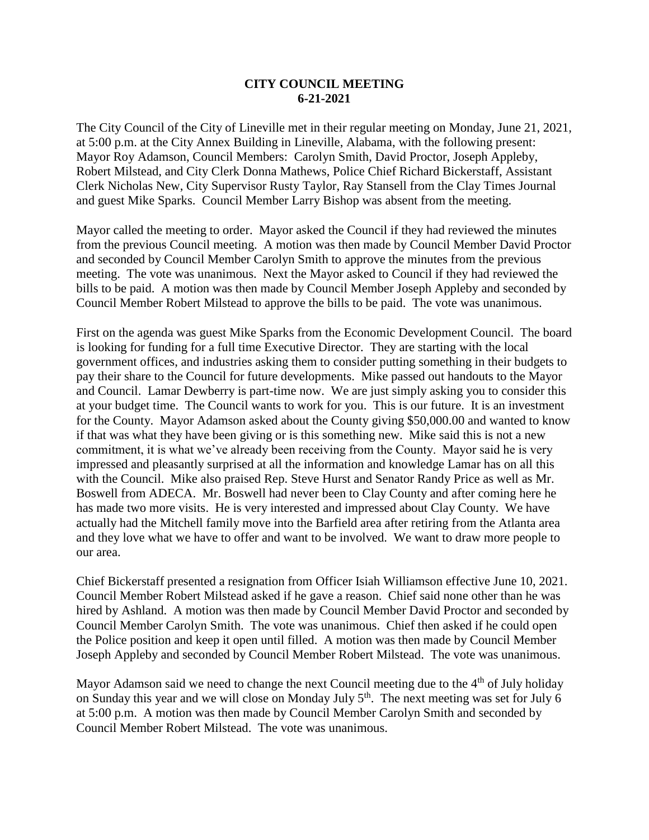## **CITY COUNCIL MEETING 6-21-2021**

The City Council of the City of Lineville met in their regular meeting on Monday, June 21, 2021, at 5:00 p.m. at the City Annex Building in Lineville, Alabama, with the following present: Mayor Roy Adamson, Council Members: Carolyn Smith, David Proctor, Joseph Appleby, Robert Milstead, and City Clerk Donna Mathews, Police Chief Richard Bickerstaff, Assistant Clerk Nicholas New, City Supervisor Rusty Taylor, Ray Stansell from the Clay Times Journal and guest Mike Sparks. Council Member Larry Bishop was absent from the meeting.

Mayor called the meeting to order. Mayor asked the Council if they had reviewed the minutes from the previous Council meeting. A motion was then made by Council Member David Proctor and seconded by Council Member Carolyn Smith to approve the minutes from the previous meeting. The vote was unanimous. Next the Mayor asked to Council if they had reviewed the bills to be paid. A motion was then made by Council Member Joseph Appleby and seconded by Council Member Robert Milstead to approve the bills to be paid. The vote was unanimous.

First on the agenda was guest Mike Sparks from the Economic Development Council. The board is looking for funding for a full time Executive Director. They are starting with the local government offices, and industries asking them to consider putting something in their budgets to pay their share to the Council for future developments. Mike passed out handouts to the Mayor and Council. Lamar Dewberry is part-time now. We are just simply asking you to consider this at your budget time. The Council wants to work for you. This is our future. It is an investment for the County. Mayor Adamson asked about the County giving \$50,000.00 and wanted to know if that was what they have been giving or is this something new. Mike said this is not a new commitment, it is what we've already been receiving from the County. Mayor said he is very impressed and pleasantly surprised at all the information and knowledge Lamar has on all this with the Council. Mike also praised Rep. Steve Hurst and Senator Randy Price as well as Mr. Boswell from ADECA. Mr. Boswell had never been to Clay County and after coming here he has made two more visits. He is very interested and impressed about Clay County. We have actually had the Mitchell family move into the Barfield area after retiring from the Atlanta area and they love what we have to offer and want to be involved. We want to draw more people to our area.

Chief Bickerstaff presented a resignation from Officer Isiah Williamson effective June 10, 2021. Council Member Robert Milstead asked if he gave a reason. Chief said none other than he was hired by Ashland. A motion was then made by Council Member David Proctor and seconded by Council Member Carolyn Smith. The vote was unanimous. Chief then asked if he could open the Police position and keep it open until filled. A motion was then made by Council Member Joseph Appleby and seconded by Council Member Robert Milstead. The vote was unanimous.

Mayor Adamson said we need to change the next Council meeting due to the  $4<sup>th</sup>$  of July holiday on Sunday this year and we will close on Monday July  $5<sup>th</sup>$ . The next meeting was set for July 6 at 5:00 p.m. A motion was then made by Council Member Carolyn Smith and seconded by Council Member Robert Milstead. The vote was unanimous.